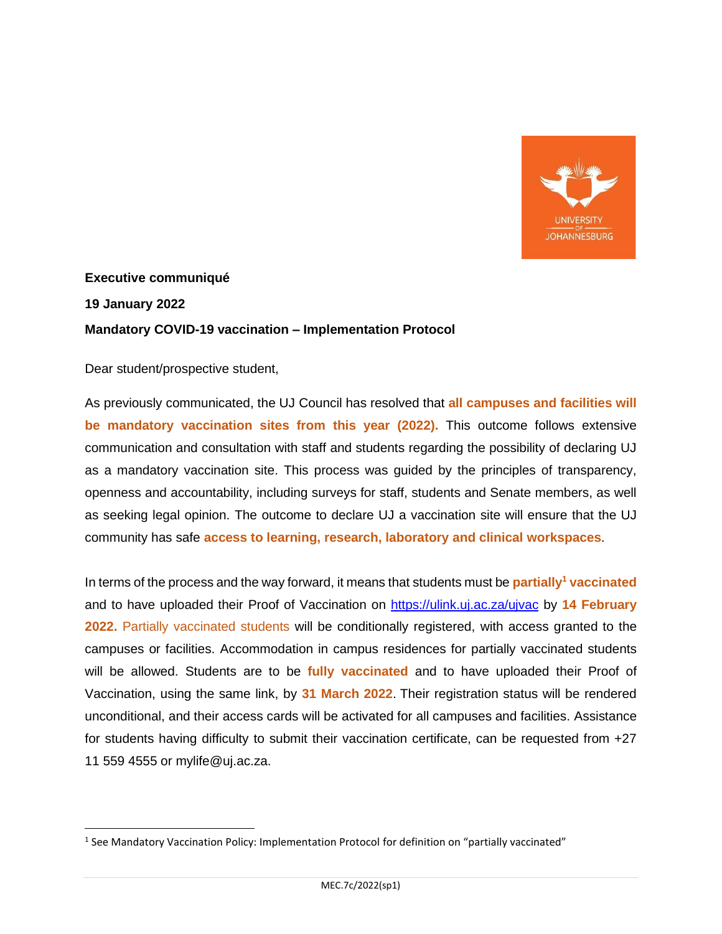

## **Executive communiqué 19 January 2022 Mandatory COVID-19 vaccination – Implementation Protocol**

Dear student/prospective student,

As previously communicated, the UJ Council has resolved that **all campuses and facilities will be mandatory vaccination sites from this year (2022).** This outcome follows extensive communication and consultation with staff and students regarding the possibility of declaring UJ as a mandatory vaccination site. This process was guided by the principles of transparency, openness and accountability, including surveys for staff, students and Senate members, as well as seeking legal opinion. The outcome to declare UJ a vaccination site will ensure that the UJ community has safe **access to learning, research, laboratory and clinical workspaces**.

In terms of the process and the way forward, it means that students must be **partially<sup>1</sup> vaccinated**  and to have uploaded their Proof of Vaccination on [https://ulink.uj.ac.za/ujvac](https://eur01.safelinks.protection.outlook.com/?url=https%3A%2F%2Fulink.uj.ac.za%2Fujvac&data=04%7C01%7Cicburger%40uj.ac.za%7C0045b8f9b1714b443f8f08d9d9b74c26%7Cfa785acd36ef41bc8a9489841327e045%7C1%7C0%7C637780203567816187%7CUnknown%7CTWFpbGZsb3d8eyJWIjoiMC4wLjAwMDAiLCJQIjoiV2luMzIiLCJBTiI6Ik1haWwiLCJXVCI6Mn0%3D%7C3000&sdata=Ho9FlityqRgc3LuHgbs0BlWeTtqrbCG8xMa1rwgv5mU%3D&reserved=0) by **14 February 2022.** Partially vaccinated students will be conditionally registered, with access granted to the campuses or facilities. Accommodation in campus residences for partially vaccinated students will be allowed. Students are to be **fully vaccinated** and to have uploaded their Proof of Vaccination, using the same link, by **31 March 2022**. Their registration status will be rendered unconditional, and their access cards will be activated for all campuses and facilities. Assistance for students having difficulty to submit their vaccination certificate, can be requested from +27 11 559 4555 or mylife@uj.ac.za.

<sup>&</sup>lt;sup>1</sup> See Mandatory Vaccination Policy: Implementation Protocol for definition on "partially vaccinated"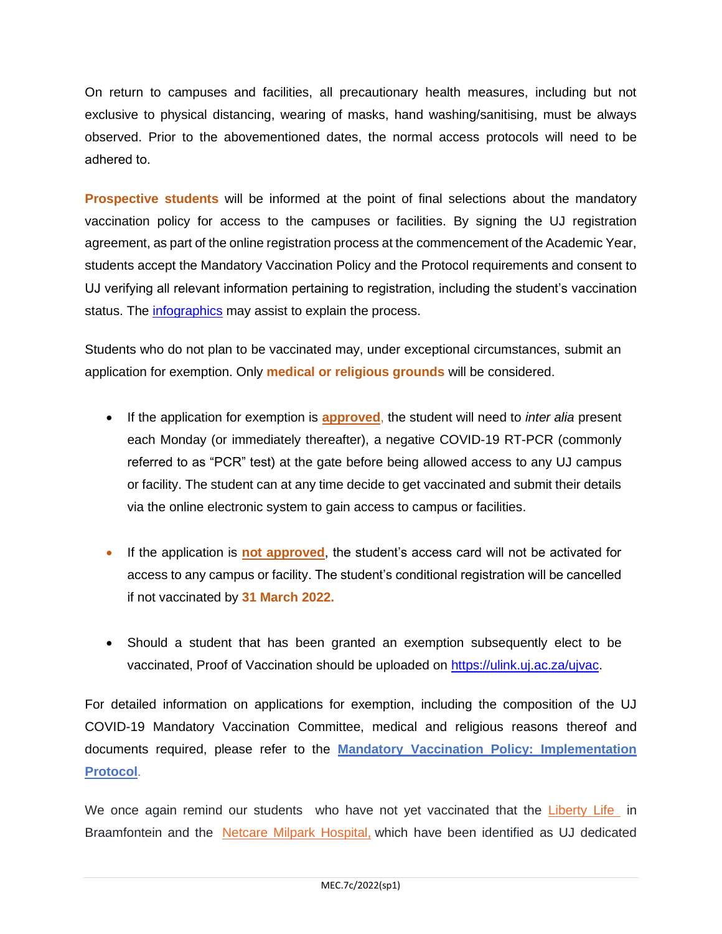On return to campuses and facilities, all precautionary health measures, including but not exclusive to physical distancing, wearing of masks, hand washing/sanitising, must be always observed. Prior to the abovementioned dates, the normal access protocols will need to be adhered to. 

**Prospective students** will be informed at the point of final selections about the mandatory vaccination policy for access to the campuses or facilities. By signing the UJ registration agreement, as part of the online registration process at the commencement of the Academic Year, students accept the Mandatory Vaccination Policy and the Protocol requirements and consent to UJ verifying all relevant information pertaining to registration, including the student's vaccination status. The *infographics* may assist to explain the process.

Students who do not plan to be vaccinated may, under exceptional circumstances, submit an application for exemption. Only **medical or religious grounds** will be considered.

- If the application for exemption is **approved**, the student will need to *inter alia* present each Monday (or immediately thereafter), a negative COVID-19 RT-PCR (commonly referred to as "PCR" test) at the gate before being allowed access to any UJ campus or facility. The student can at any time decide to get vaccinated and submit their details via the online electronic system to gain access to campus or facilities.
- If the application is **not approved**, the student's access card will not be activated for access to any campus or facility. The student's conditional registration will be cancelled if not vaccinated by **31 March 2022.**
- Should a student that has been granted an exemption subsequently elect to be vaccinated, Proof of Vaccination should be uploaded on [https://ulink.uj.ac.za/ujvac.](https://eur01.safelinks.protection.outlook.com/?url=https%3A%2F%2Fulink.uj.ac.za%2Fujvac&data=04%7C01%7Cicburger%40uj.ac.za%7C0045b8f9b1714b443f8f08d9d9b74c26%7Cfa785acd36ef41bc8a9489841327e045%7C1%7C0%7C637780203567816187%7CUnknown%7CTWFpbGZsb3d8eyJWIjoiMC4wLjAwMDAiLCJQIjoiV2luMzIiLCJBTiI6Ik1haWwiLCJXVCI6Mn0%3D%7C3000&sdata=Ho9FlityqRgc3LuHgbs0BlWeTtqrbCG8xMa1rwgv5mU%3D&reserved=0)

For detailed information on applications for exemption, including the composition of the UJ COVID-19 Mandatory Vaccination Committee, medical and religious reasons thereof and documents required, please refer to the **[Mandatory Vaccination Policy: Implementation](https://www.uj.ac.za/wp-content/uploads/2022/01/mandatory-vaccination-implementation-protocol-17-jan2022.pdf)  [Protocol](https://www.uj.ac.za/wp-content/uploads/2022/01/mandatory-vaccination-implementation-protocol-17-jan2022.pdf)**.

We once again remind our students who have not yet vaccinated that the [Liberty Life i](https://www.liberty.co.za/vaccination-site-faqs)n Braamfontein and the [Netcare Milpark Hospital,](https://www.netcare.co.za/News-Hub/Articles/only-those-with-appointments-will-be-vaccinated-at-netcare-facilities) which have been identified as UJ dedicated